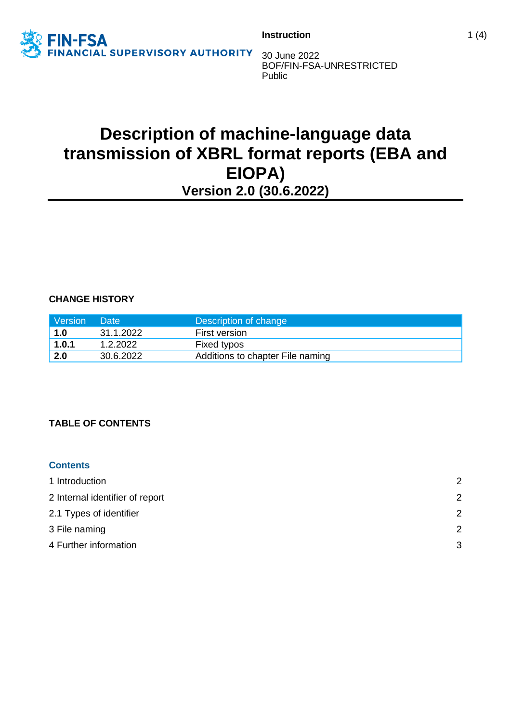

30 June 2022 BOF/FIN-FSA-UNRESTRICTED Public

# **Description of machine-language data transmission of XBRL format reports (EBA and EIOPA) Version 2.0 (30.6.2022)**

**CHANGE HISTORY**

| Version | Date      | Description of change            |
|---------|-----------|----------------------------------|
| 1.0     | 31.1.2022 | <b>First version</b>             |
| 1.0.1   | 1.2.2022  | Fixed typos                      |
| 2.0     | 30.6.2022 | Additions to chapter File naming |

# **TABLE OF CONTENTS**

# **Contents** 1 [Introduction](#page-1-0) 2 2 [Internal identifier of report](#page-1-1) 2 2.1 [Types of identifier](#page-1-2) 2 3 [File naming](#page-1-3) 2 4 [Further information](#page-2-0) 3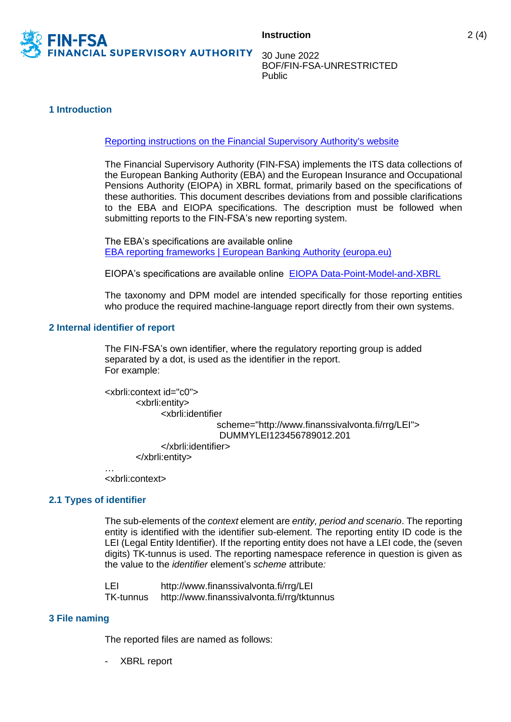

30 June 2022 BOF/FIN-FSA-UNRESTRICTED Public

#### <span id="page-1-0"></span>**1 Introduction**

[Reporting instructions on the Financial Supervisory Authority's website](https://www.finanssivalvonta.fi/en/reporting/)

The Financial Supervisory Authority (FIN-FSA) implements the ITS data collections of the European Banking Authority (EBA) and the European Insurance and Occupational Pensions Authority (EIOPA) in XBRL format, primarily based on the specifications of these authorities. This document describes deviations from and possible clarifications to the EBA and EIOPA specifications. The description must be followed when submitting reports to the FIN-FSA's new reporting system.

The EBA's specifications are available online [EBA reporting frameworks | European Banking Authority \(europa.eu\)](https://www.eba.europa.eu/risk-analysis-and-data/reporting-frameworks/)

EIOPA's specifications are available online [EIOPA Data-Point-Model-and-XBRL](https://eiopa.europa.eu/Pages/Supervision/Insurance/Data-Point-Model-and-XBRL.aspx)

The taxonomy and DPM model are intended specifically for those reporting entities who produce the required machine-language report directly from their own systems.

#### <span id="page-1-1"></span>**2 Internal identifier of report**

The FIN-FSA's own identifier, where the regulatory reporting group is added separated by a dot, is used as the identifier in the report. For example:

```
<xbrli:context id="c0">
       <xbrli:entity>
             <xbrli:identifier
                           scheme="http://www.finanssivalvonta.fi/rrg/LEI">
                           DUMMYLEI123456789012.201
             </xbrli:identifier>
       </xbrli:entity>
…
```
<xbrli:context>

#### <span id="page-1-2"></span>**2.1 Types of identifier**

The sub-elements of the *context* element are *entity, period and scenario*. The reporting entity is identified with the identifier sub-element. The reporting entity ID code is the LEI (Legal Entity Identifier). If the reporting entity does not have a LEI code, the (seven digits) TK-tunnus is used. The reporting namespace reference in question is given as the value to the *identifier* element's *scheme* attribute*:*

LEI http://www.finanssivalvonta.fi/rrg/LEI TK-tunnus http://www.finanssivalvonta.fi/rrg/tktunnus

#### <span id="page-1-3"></span>**3 File naming**

The reported files are named as follows:

- XBRL report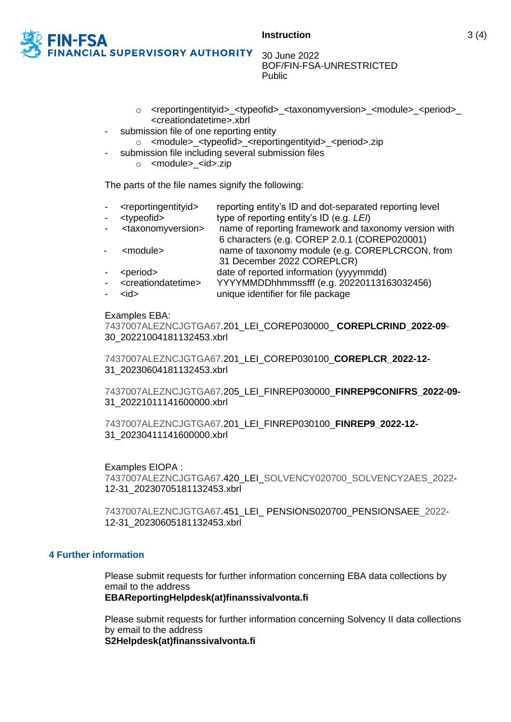

30 June 2022 BOF/FIN-FSA-UNRESTRICTED Public

- o <reportingentityid>\_<typeofid>\_<taxonomyversion>\_<module>\_<period>\_ <creationdatetime>.xbrl
- submission file of one reporting entity
	- o <module>\_<typeofid>\_<reportingentityid>\_<period>.zip
- submission file including several submission files
	- o <module>\_<id>.zip

The parts of the file names signify the following:

- <reportingentityid> reporting entity's ID and dot-separated reporting level
- <typeofid> type of reporting entity's ID (e.g. *LEI*)
- <taxonomyversion> name of reporting framework and taxonomy version with 6 characters (e.g. COREP 2.0.1 (COREP020001) - <module> name of taxonomy module (e.g. COREPLCRCON, from
- 31 December 2022 COREPLCR)
- <period> date of reported information (yyyymmdd)
- <creationdatetime> YYYYMMDDhhmmssfff (e.g. 20220113163032456)
- <id> unique identifier for file package

#### Examples EBA:

7437007ALEZNCJGTGA67.201\_LEI\_COREP030000\_ **COREPLCRIND\_2022-09**- 30\_20221004181132453.xbrl

7437007ALEZNCJGTGA67.201\_LEI\_COREP030100\_**COREPLCR\_2022-12-** 31\_20230604181132453.xbrl

7437007ALEZNCJGTGA67.205\_LEI\_FINREP030000\_**FINREP9CONIFRS\_2022-09-** 31\_20221011141600000.xbrl

7437007ALEZNCJGTGA67.201\_LEI\_FINREP030100\_**FINREP9\_2022-12-** 31\_20230411141600000.xbrl

# Examples EIOPA :

7437007ALEZNCJGTGA67.420\_LEI\_SOLVENCY020700\_SOLVENCY2AES\_2022- 12-31\_20230705181132453.xbrl

7437007ALEZNCJGTGA67.451\_LEI\_ PENSIONS020700\_PENSIONSAEE\_2022- 12-31\_20230605181132453.xbrl

# <span id="page-2-0"></span>**4 Further information**

Please submit requests for further information concerning EBA data collections by email to the address

# **EBAReportingHelpdesk(at)finanssivalvonta.fi**

Please submit requests for further information concerning Solvency II data collections by email to the address

**S2Helpdesk(at)finanssivalvonta.fi**